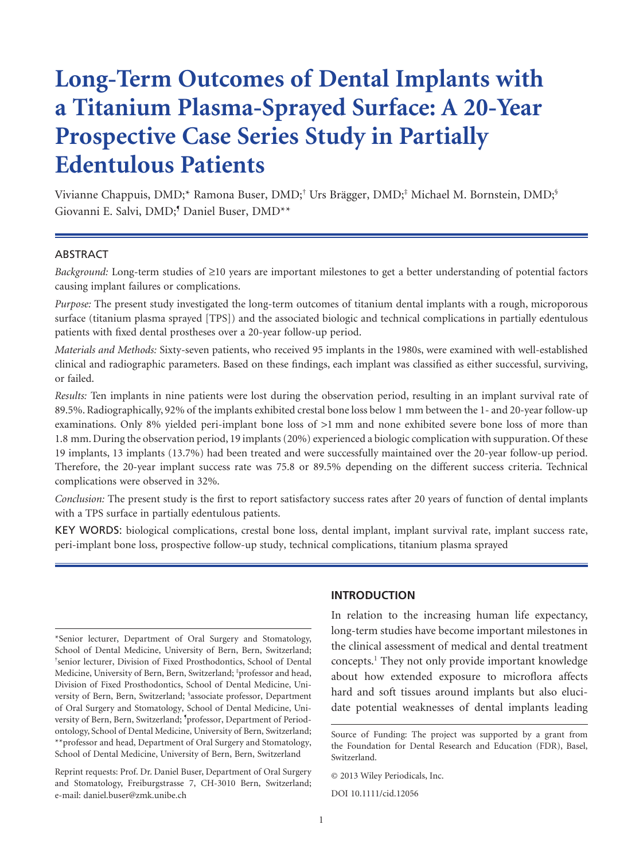# **Long-Term Outcomes of Dental Implants with a Titanium Plasma-Sprayed Surface: A 20-Year Prospective Case Series Study in Partially Edentulous Patients**

Vivianne Chappuis, DMD;\* Ramona Buser, DMD;† Urs Brägger, DMD;‡ Michael M. Bornstein, DMD;§ Giovanni E. Salvi, DMD;<sup>5</sup> Daniel Buser, DMD<sup>\*\*</sup>

#### ABSTRACT

*Background:* Long-term studies of ≥10 years are important milestones to get a better understanding of potential factors causing implant failures or complications.

*Purpose:* The present study investigated the long-term outcomes of titanium dental implants with a rough, microporous surface (titanium plasma sprayed [TPS]) and the associated biologic and technical complications in partially edentulous patients with fixed dental prostheses over a 20-year follow-up period.

*Materials and Methods:* Sixty-seven patients, who received 95 implants in the 1980s, were examined with well-established clinical and radiographic parameters. Based on these findings, each implant was classified as either successful, surviving, or failed.

*Results:* Ten implants in nine patients were lost during the observation period, resulting in an implant survival rate of 89.5%. Radiographically, 92% of the implants exhibited crestal bone loss below 1 mm between the 1- and 20-year follow-up examinations. Only 8% yielded peri-implant bone loss of >1 mm and none exhibited severe bone loss of more than 1.8 mm. During the observation period, 19 implants (20%) experienced a biologic complication with suppuration. Of these 19 implants, 13 implants (13.7%) had been treated and were successfully maintained over the 20-year follow-up period. Therefore, the 20-year implant success rate was 75.8 or 89.5% depending on the different success criteria. Technical complications were observed in 32%.

*Conclusion:* The present study is the first to report satisfactory success rates after 20 years of function of dental implants with a TPS surface in partially edentulous patients.

KEY WORDS: biological complications, crestal bone loss, dental implant, implant survival rate, implant success rate, peri-implant bone loss, prospective follow-up study, technical complications, titanium plasma sprayed

Reprint requests: Prof. Dr. Daniel Buser, Department of Oral Surgery and Stomatology, Freiburgstrasse 7, CH-3010 Bern, Switzerland; e-mail: daniel.buser@zmk.unibe.ch

#### **INTRODUCTION**

In relation to the increasing human life expectancy, long-term studies have become important milestones in the clinical assessment of medical and dental treatment concepts.1 They not only provide important knowledge about how extended exposure to microflora affects hard and soft tissues around implants but also elucidate potential weaknesses of dental implants leading

DOI 10.1111/cid.12056

<sup>\*</sup>Senior lecturer, Department of Oral Surgery and Stomatology, School of Dental Medicine, University of Bern, Bern, Switzerland; † senior lecturer, Division of Fixed Prosthodontics, School of Dental Medicine, University of Bern, Bern, Switzerland; ‡ professor and head, Division of Fixed Prosthodontics, School of Dental Medicine, University of Bern, Bern, Switzerland; § associate professor, Department of Oral Surgery and Stomatology, School of Dental Medicine, University of Bern, Bern, Switzerland; <sup>5</sup>professor, Department of Periodontology, School of Dental Medicine, University of Bern, Switzerland; \*\*professor and head, Department of Oral Surgery and Stomatology, School of Dental Medicine, University of Bern, Bern, Switzerland

Source of Funding: The project was supported by a grant from the Foundation for Dental Research and Education (FDR), Basel, Switzerland.

<sup>© 2013</sup> Wiley Periodicals, Inc.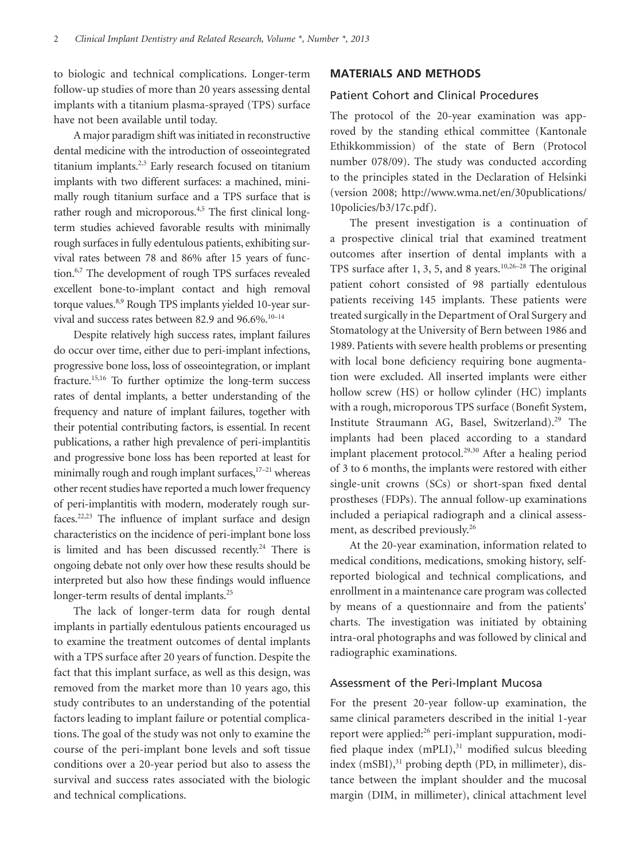to biologic and technical complications. Longer-term follow-up studies of more than 20 years assessing dental implants with a titanium plasma-sprayed (TPS) surface have not been available until today.

A major paradigm shift was initiated in reconstructive dental medicine with the introduction of osseointegrated titanium implants.<sup>2,3</sup> Early research focused on titanium implants with two different surfaces: a machined, minimally rough titanium surface and a TPS surface that is rather rough and microporous.<sup>4,5</sup> The first clinical longterm studies achieved favorable results with minimally rough surfaces in fully edentulous patients, exhibiting survival rates between 78 and 86% after 15 years of function.<sup>6,7</sup> The development of rough TPS surfaces revealed excellent bone-to-implant contact and high removal torque values.<sup>8,9</sup> Rough TPS implants yielded 10-year survival and success rates between 82.9 and 96.6%.<sup>10-14</sup>

Despite relatively high success rates, implant failures do occur over time, either due to peri-implant infections, progressive bone loss, loss of osseointegration, or implant fracture.<sup>15,16</sup> To further optimize the long-term success rates of dental implants, a better understanding of the frequency and nature of implant failures, together with their potential contributing factors, is essential. In recent publications, a rather high prevalence of peri-implantitis and progressive bone loss has been reported at least for minimally rough and rough implant surfaces,<sup>17-21</sup> whereas other recent studies have reported a much lower frequency of peri-implantitis with modern, moderately rough surfaces.22,23 The influence of implant surface and design characteristics on the incidence of peri-implant bone loss is limited and has been discussed recently.<sup>24</sup> There is ongoing debate not only over how these results should be interpreted but also how these findings would influence longer-term results of dental implants.<sup>25</sup>

The lack of longer-term data for rough dental implants in partially edentulous patients encouraged us to examine the treatment outcomes of dental implants with a TPS surface after 20 years of function. Despite the fact that this implant surface, as well as this design, was removed from the market more than 10 years ago, this study contributes to an understanding of the potential factors leading to implant failure or potential complications. The goal of the study was not only to examine the course of the peri-implant bone levels and soft tissue conditions over a 20-year period but also to assess the survival and success rates associated with the biologic and technical complications.

#### **MATERIALS AND METHODS**

#### Patient Cohort and Clinical Procedures

The protocol of the 20-year examination was approved by the standing ethical committee (Kantonale Ethikkommission) of the state of Bern (Protocol number 078/09). The study was conducted according to the principles stated in the Declaration of Helsinki (version 2008; http://www.wma.net/en/30publications/ 10policies/b3/17c.pdf).

The present investigation is a continuation of a prospective clinical trial that examined treatment outcomes after insertion of dental implants with a TPS surface after 1, 3, 5, and 8 years.<sup>10,26-28</sup> The original patient cohort consisted of 98 partially edentulous patients receiving 145 implants. These patients were treated surgically in the Department of Oral Surgery and Stomatology at the University of Bern between 1986 and 1989. Patients with severe health problems or presenting with local bone deficiency requiring bone augmentation were excluded. All inserted implants were either hollow screw (HS) or hollow cylinder (HC) implants with a rough, microporous TPS surface (Bonefit System, Institute Straumann AG, Basel, Switzerland).<sup>29</sup> The implants had been placed according to a standard implant placement protocol.<sup>29,30</sup> After a healing period of 3 to 6 months, the implants were restored with either single-unit crowns (SCs) or short-span fixed dental prostheses (FDPs). The annual follow-up examinations included a periapical radiograph and a clinical assessment, as described previously.<sup>26</sup>

At the 20-year examination, information related to medical conditions, medications, smoking history, selfreported biological and technical complications, and enrollment in a maintenance care program was collected by means of a questionnaire and from the patients' charts. The investigation was initiated by obtaining intra-oral photographs and was followed by clinical and radiographic examinations.

### Assessment of the Peri-Implant Mucosa

For the present 20-year follow-up examination, the same clinical parameters described in the initial 1-year report were applied:<sup>26</sup> peri-implant suppuration, modified plaque index  $(mPLI),<sup>31</sup>$  modified sulcus bleeding index  $(mSBI),<sup>31</sup>$  probing depth (PD, in millimeter), distance between the implant shoulder and the mucosal margin (DIM, in millimeter), clinical attachment level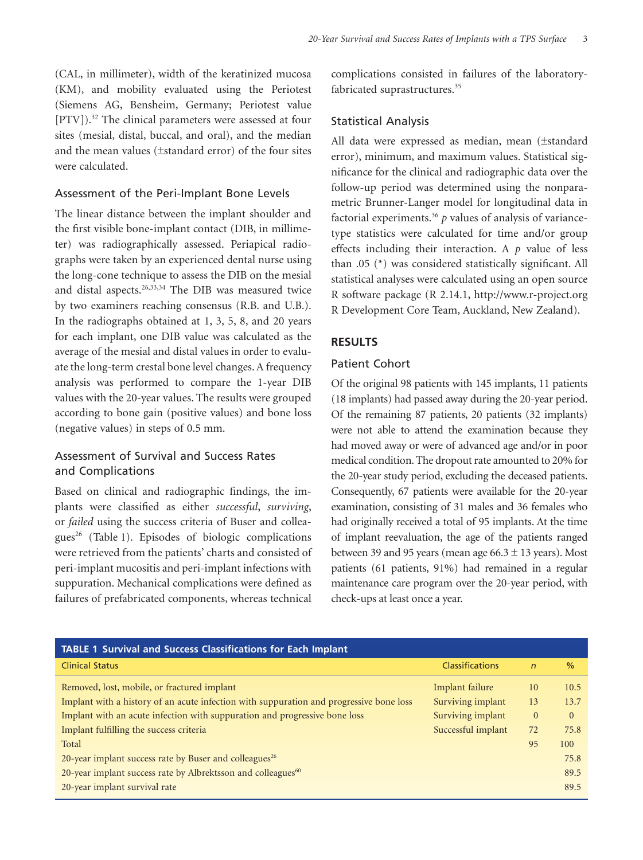(CAL, in millimeter), width of the keratinized mucosa (KM), and mobility evaluated using the Periotest (Siemens AG, Bensheim, Germany; Periotest value [PTV]).<sup>32</sup> The clinical parameters were assessed at four sites (mesial, distal, buccal, and oral), and the median and the mean values ( $\pm$ standard error) of the four sites were calculated.

#### Assessment of the Peri-Implant Bone Levels

The linear distance between the implant shoulder and the first visible bone-implant contact (DIB, in millimeter) was radiographically assessed. Periapical radiographs were taken by an experienced dental nurse using the long-cone technique to assess the DIB on the mesial and distal aspects.<sup>26,33,34</sup> The DIB was measured twice by two examiners reaching consensus (R.B. and U.B.). In the radiographs obtained at 1, 3, 5, 8, and 20 years for each implant, one DIB value was calculated as the average of the mesial and distal values in order to evaluate the long-term crestal bone level changes. A frequency analysis was performed to compare the 1-year DIB values with the 20-year values. The results were grouped according to bone gain (positive values) and bone loss (negative values) in steps of 0.5 mm.

## Assessment of Survival and Success Rates and Complications

Based on clinical and radiographic findings, the implants were classified as either *successful*, *surviving*, or *failed* using the success criteria of Buser and colleagues<sup>26</sup> (Table 1). Episodes of biologic complications were retrieved from the patients' charts and consisted of peri-implant mucositis and peri-implant infections with suppuration. Mechanical complications were defined as failures of prefabricated components, whereas technical complications consisted in failures of the laboratoryfabricated suprastructures.<sup>35</sup>

#### Statistical Analysis

All data were expressed as median, mean (±standard error), minimum, and maximum values. Statistical significance for the clinical and radiographic data over the follow-up period was determined using the nonparametric Brunner-Langer model for longitudinal data in factorial experiments.36 *p* values of analysis of variancetype statistics were calculated for time and/or group effects including their interaction. A *p* value of less than .05 (\*) was considered statistically significant. All statistical analyses were calculated using an open source R software package (R 2.14.1, http://www.r-project.org R Development Core Team, Auckland, New Zealand).

#### **RESULTS**

#### Patient Cohort

Of the original 98 patients with 145 implants, 11 patients (18 implants) had passed away during the 20-year period. Of the remaining 87 patients, 20 patients (32 implants) were not able to attend the examination because they had moved away or were of advanced age and/or in poor medical condition. The dropout rate amounted to 20% for the 20-year study period, excluding the deceased patients. Consequently, 67 patients were available for the 20-year examination, consisting of 31 males and 36 females who had originally received a total of 95 implants. At the time of implant reevaluation, the age of the patients ranged between 39 and 95 years (mean age  $66.3 \pm 13$  years). Most patients (61 patients, 91%) had remained in a regular maintenance care program over the 20-year period, with check-ups at least once a year.

| <b>TABLE 1 Survival and Success Classifications for Each Implant</b>                    |                        |                |               |
|-----------------------------------------------------------------------------------------|------------------------|----------------|---------------|
| <b>Clinical Status</b>                                                                  | <b>Classifications</b> | $\overline{n}$ | $\frac{0}{0}$ |
| Removed, lost, mobile, or fractured implant                                             | Implant failure        | 10             | 10.5          |
| Implant with a history of an acute infection with suppuration and progressive bone loss | Surviving implant      | 13             | 13.7          |
| Implant with an acute infection with suppuration and progressive bone loss              | Surviving implant      | $\Omega$       | $\Omega$      |
| Implant fulfilling the success criteria                                                 | Successful implant     | 72             | 75.8          |
| Total                                                                                   |                        | 95             | 100           |
| 20-year implant success rate by Buser and colleagues <sup>26</sup>                      |                        |                | 75.8          |
| 20-year implant success rate by Albrektsson and colleagues <sup>60</sup>                |                        |                | 89.5          |
| 20-year implant survival rate                                                           |                        |                | 89.5          |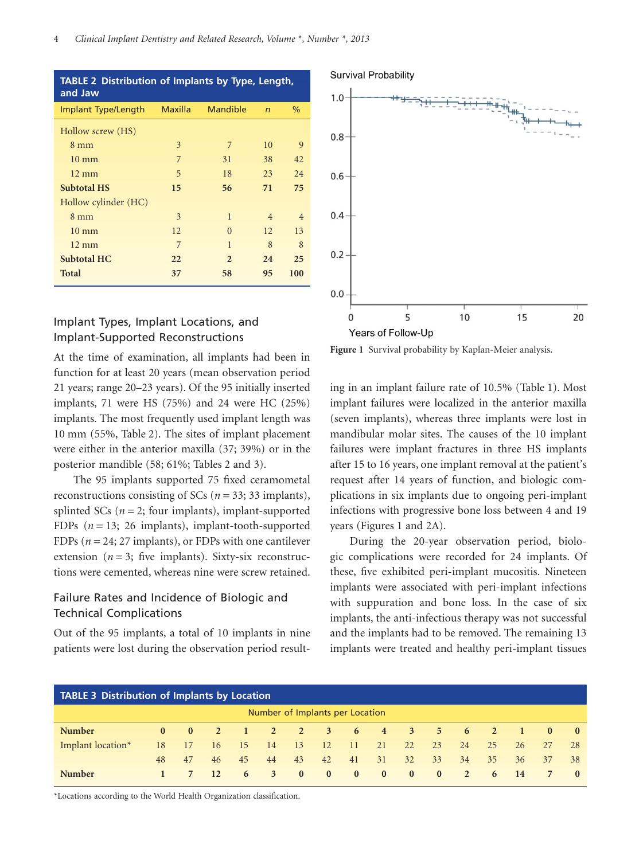| <b>TABLE 2 Distribution of Implants by Type, Length,</b><br>and Jaw |                |                 |                |                |  |  |  |  |  |  |
|---------------------------------------------------------------------|----------------|-----------------|----------------|----------------|--|--|--|--|--|--|
| Implant Type/Length                                                 | <b>Maxilla</b> | <b>Mandible</b> | $\overline{r}$ | $\%$           |  |  |  |  |  |  |
| Hollow screw (HS)                                                   |                |                 |                |                |  |  |  |  |  |  |
| $8 \text{ mm}$                                                      | 3              | 7               | 10             | 9              |  |  |  |  |  |  |
| $10 \text{ mm}$                                                     | 7              | 31              | 38             | 42             |  |  |  |  |  |  |
| $12 \text{ mm}$                                                     | 5              | 18              | 23             | 24             |  |  |  |  |  |  |
| <b>Subtotal HS</b>                                                  | 15             | 56              | 71             | 75             |  |  |  |  |  |  |
| Hollow cylinder (HC)                                                |                |                 |                |                |  |  |  |  |  |  |
| $8 \text{ mm}$                                                      | 3              | $\mathbf{1}$    | $\overline{4}$ | $\overline{4}$ |  |  |  |  |  |  |
| $10 \text{ mm}$                                                     | 12             | $\Omega$        | 12             | 13             |  |  |  |  |  |  |
| $12 \text{ mm}$                                                     | 7              | $\mathbf{1}$    | 8              | 8              |  |  |  |  |  |  |
| <b>Subtotal HC</b>                                                  | 22             | $\overline{2}$  | 24             | 25             |  |  |  |  |  |  |
| <b>Total</b>                                                        | 37             | 58              | 95             | 100            |  |  |  |  |  |  |

## Implant Types, Implant Locations, and Implant-Supported Reconstructions

At the time of examination, all implants had been in function for at least 20 years (mean observation period 21 years; range 20–23 years). Of the 95 initially inserted implants, 71 were HS (75%) and 24 were HC (25%) implants. The most frequently used implant length was 10 mm (55%, Table 2). The sites of implant placement were either in the anterior maxilla (37; 39%) or in the posterior mandible (58; 61%; Tables 2 and 3).

The 95 implants supported 75 fixed ceramometal reconstructions consisting of SCs (*n* = 33; 33 implants), splinted SCs  $(n = 2;$  four implants), implant-supported FDPs (*n* = 13; 26 implants), implant-tooth-supported FDPs (*n* = 24; 27 implants), or FDPs with one cantilever extension ( $n = 3$ ; five implants). Sixty-six reconstructions were cemented, whereas nine were screw retained.

## Failure Rates and Incidence of Biologic and Technical Complications

Out of the 95 implants, a total of 10 implants in nine patients were lost during the observation period result-



 $0.4$  $0.2$  $0.0$ 5 10 15 20  $\Omega$ Years of Follow-Up

**Figure 1** Survival probability by Kaplan-Meier analysis.

ing in an implant failure rate of 10.5% (Table 1). Most implant failures were localized in the anterior maxilla (seven implants), whereas three implants were lost in mandibular molar sites. The causes of the 10 implant failures were implant fractures in three HS implants after 15 to 16 years, one implant removal at the patient's request after 14 years of function, and biologic complications in six implants due to ongoing peri-implant infections with progressive bone loss between 4 and 19 years (Figures 1 and 2A).

During the 20-year observation period, biologic complications were recorded for 24 implants. Of these, five exhibited peri-implant mucositis. Nineteen implants were associated with peri-implant infections with suppuration and bone loss. In the case of six implants, the anti-infectious therapy was not successful and the implants had to be removed. The remaining 13 implants were treated and healthy peri-implant tissues

| <b>TABLE 3 Distribution of Implants by Location</b> |              |              |           |                |      |              |               |                            |             |              |                |                |          |                    |              |              |
|-----------------------------------------------------|--------------|--------------|-----------|----------------|------|--------------|---------------|----------------------------|-------------|--------------|----------------|----------------|----------|--------------------|--------------|--------------|
| Number of Implants per Location                     |              |              |           |                |      |              |               |                            |             |              |                |                |          |                    |              |              |
| <b>Number</b>                                       | $\mathbf{0}$ | $\mathbf{0}$ | $\sim$ 2  | $\blacksquare$ |      | 2 2 3        |               | $\overline{\phantom{0}}$ 6 | $4 \quad 3$ |              | 5 <sup>5</sup> | $-6$           | $\sim$ 2 | $\blacktriangle$ 1 | $\mathbf{0}$ | $\mathbf{0}$ |
| Implant location*                                   | 18           | 17           | 16        | -15            | - 14 | - 13         | <sup>12</sup> | - 11                       | 21          | 22           | 23             | 24             | 25       | 26                 | 2.7          | 28           |
|                                                     | 48           | 47           | 46        | 45             | 44   | 43           | 42            | 41                         | 31          | 32           | 33             | 34             | 35       | 36                 | 37           | 38           |
| <b>Number</b>                                       |              | 7            | <b>12</b> | 6              | 3    | $\mathbf{0}$ | $\mathbf{0}$  | $\bf{0}$                   | $\bf{0}$    | $\mathbf{0}$ | $\mathbf{0}$   | $\overline{2}$ | 6        | <b>14</b>          | 7            | $\bf{0}$     |

\*Locations according to the World Health Organization classification.

#### **Survival Probability**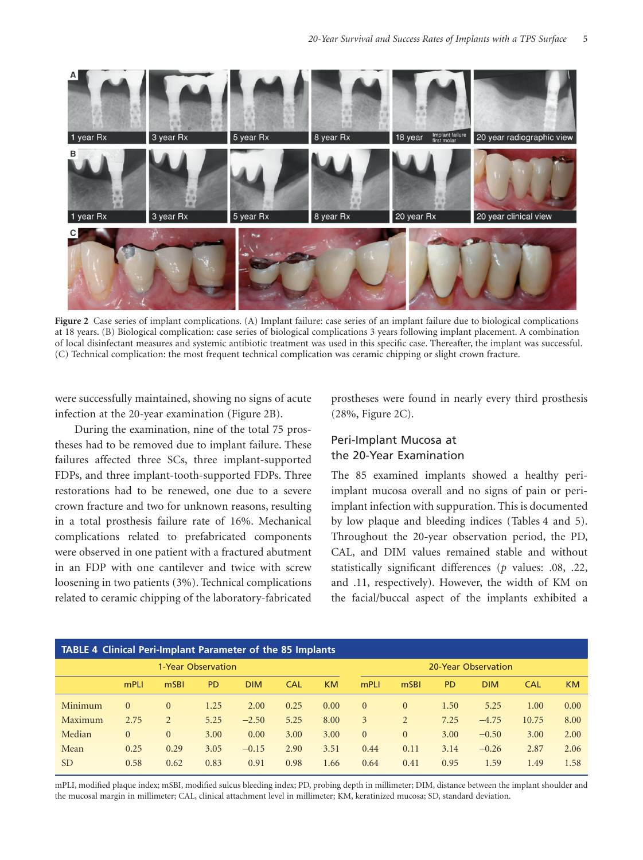

**Figure 2** Case series of implant complications. (A) Implant failure: case series of an implant failure due to biological complications at 18 years. (B) Biological complication: case series of biological complications 3 years following implant placement. A combination of local disinfectant measures and systemic antibiotic treatment was used in this specific case. Thereafter, the implant was successful. (C) Technical complication: the most frequent technical complication was ceramic chipping or slight crown fracture.

were successfully maintained, showing no signs of acute infection at the 20-year examination (Figure 2B).

During the examination, nine of the total 75 prostheses had to be removed due to implant failure. These failures affected three SCs, three implant-supported FDPs, and three implant-tooth-supported FDPs. Three restorations had to be renewed, one due to a severe crown fracture and two for unknown reasons, resulting in a total prosthesis failure rate of 16%. Mechanical complications related to prefabricated components were observed in one patient with a fractured abutment in an FDP with one cantilever and twice with screw loosening in two patients (3%). Technical complications related to ceramic chipping of the laboratory-fabricated

prostheses were found in nearly every third prosthesis (28%, Figure 2C).

## Peri-Implant Mucosa at the 20-Year Examination

The 85 examined implants showed a healthy periimplant mucosa overall and no signs of pain or periimplant infection with suppuration. This is documented by low plaque and bleeding indices (Tables 4 and 5). Throughout the 20-year observation period, the PD, CAL, and DIM values remained stable and without statistically significant differences (*p* values: .08, .22, and .11, respectively). However, the width of KM on the facial/buccal aspect of the implants exhibited a

| <b>TABLE 4 Clinical Peri-Implant Parameter of the 85 Implants</b> |          |          |           |            |      |           |          |                     |           |            |            |           |  |
|-------------------------------------------------------------------|----------|----------|-----------|------------|------|-----------|----------|---------------------|-----------|------------|------------|-----------|--|
| 1-Year Observation                                                |          |          |           |            |      |           |          | 20-Year Observation |           |            |            |           |  |
|                                                                   | mPLI     | mSBI     | <b>PD</b> | <b>DIM</b> | CAL  | <b>KM</b> | mPLI     | mSBI                | <b>PD</b> | <b>DIM</b> | <b>CAL</b> | <b>KM</b> |  |
| Minimum                                                           | $\Omega$ | $\Omega$ | 1.25      | 2.00       | 0.25 | 0.00      | $\Omega$ | $\Omega$            | 1.50      | 5.25       | 1.00       | 0.00      |  |
| Maximum                                                           | 2.75     | 2        | 5.25      | $-2.50$    | 5.25 | 8.00      | 3        | $\overline{2}$      | 7.25      | $-4.75$    | 10.75      | 8.00      |  |
| Median                                                            | $\Omega$ | $\Omega$ | 3.00      | 0.00       | 3.00 | 3.00      | $\Omega$ | $\Omega$            | 3.00      | $-0.50$    | 3.00       | 2.00      |  |
| Mean                                                              | 0.25     | 0.29     | 3.05      | $-0.15$    | 2.90 | 3.51      | 0.44     | 0.11                | 3.14      | $-0.26$    | 2.87       | 2.06      |  |
| <sub>SD</sub>                                                     | 0.58     | 0.62     | 0.83      | 0.91       | 0.98 | 1.66      | 0.64     | 0.41                | 0.95      | 1.59       | 1.49       | 1.58      |  |

mPLI, modified plaque index; mSBI, modified sulcus bleeding index; PD, probing depth in millimeter; DIM, distance between the implant shoulder and the mucosal margin in millimeter; CAL, clinical attachment level in millimeter; KM, keratinized mucosa; SD, standard deviation.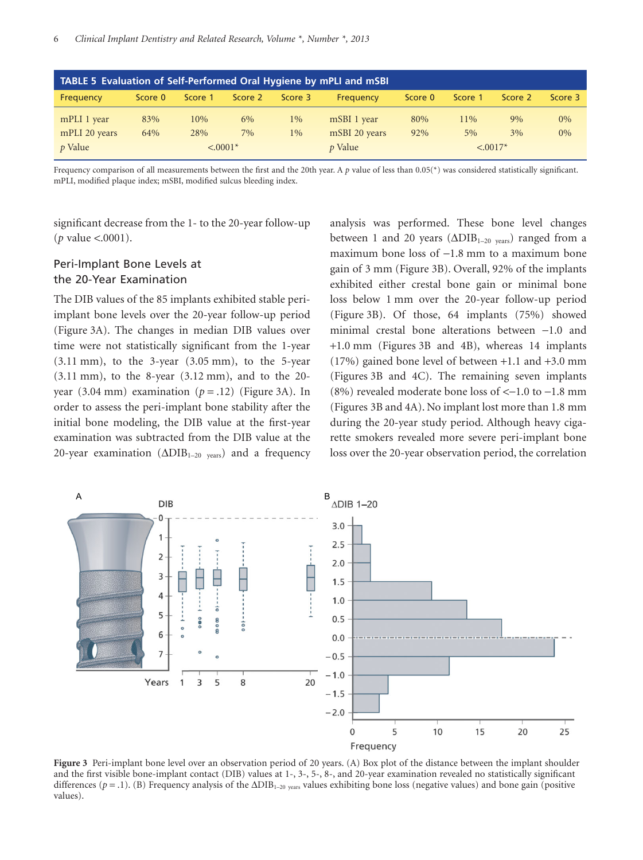| TABLE 5 Evaluation of Self-Performed Oral Hygiene by mPLI and mSBI |               |         |         |         |                              |         |         |         |         |  |  |  |
|--------------------------------------------------------------------|---------------|---------|---------|---------|------------------------------|---------|---------|---------|---------|--|--|--|
| Frequency                                                          | Score 0       | Score 1 | Score 2 | Score 3 | Frequency                    | Score 0 | Score 1 | Score 2 | Score 3 |  |  |  |
| mPLI 1 year                                                        | 83%           | 10%     | $6\%$   | 1%      | mSBI 1 year                  | 80%     | 11%     | $9\%$   | $0\%$   |  |  |  |
| mPLI 20 years                                                      | 64%           | 28%     | 7%      | $1\%$   | mSBI 20 years                | 92%     | 5%      | $3\%$   | $0\%$   |  |  |  |
| $p$ Value                                                          | $\leq 0.001*$ |         |         |         | <i>p</i> Value<br>$< .0017*$ |         |         |         |         |  |  |  |

Frequency comparison of all measurements between the first and the 20th year. A *p* value of less than 0.05(\*) was considered statistically significant. mPLI, modified plaque index; mSBI, modified sulcus bleeding index.

significant decrease from the 1- to the 20-year follow-up (*p* value <.0001).

### Peri-Implant Bone Levels at the 20-Year Examination

The DIB values of the 85 implants exhibited stable periimplant bone levels over the 20-year follow-up period (Figure 3A). The changes in median DIB values over time were not statistically significant from the 1-year (3.11 mm), to the 3-year (3.05 mm), to the 5-year (3.11 mm), to the 8-year (3.12 mm), and to the 20 year  $(3.04 \text{ mm})$  examination  $(p = .12)$  (Figure 3A). In order to assess the peri-implant bone stability after the initial bone modeling, the DIB value at the first-year examination was subtracted from the DIB value at the 20-year examination  $(\Delta DIB_{1-20 \text{ years}})$  and a frequency analysis was performed. These bone level changes between 1 and 20 years ( $\triangle DIB_{1-20 \text{ years}}$ ) ranged from a maximum bone loss of  $-1.8$  mm to a maximum bone gain of 3 mm (Figure 3B). Overall, 92% of the implants exhibited either crestal bone gain or minimal bone loss below 1 mm over the 20-year follow-up period (Figure 3B). Of those, 64 implants (75%) showed minimal crestal bone alterations between -1.0 and +1.0 mm (Figures 3B and 4B), whereas 14 implants (17%) gained bone level of between +1.1 and +3.0 mm (Figures 3B and 4C). The remaining seven implants (8%) revealed moderate bone loss of  $<-1.0$  to  $-1.8$  mm (Figures 3B and 4A). No implant lost more than 1.8 mm during the 20-year study period. Although heavy cigarette smokers revealed more severe peri-implant bone loss over the 20-year observation period, the correlation



**Figure 3** Peri-implant bone level over an observation period of 20 years. (A) Box plot of the distance between the implant shoulder and the first visible bone-implant contact (DIB) values at 1-, 3-, 5-, 8-, and 20-year examination revealed no statistically significant differences ( $p = 0.1$ ). (B) Frequency analysis of the  $\Delta DIB_{1-20}$  <sub>years</sub> values exhibiting bone loss (negative values) and bone gain (positive values).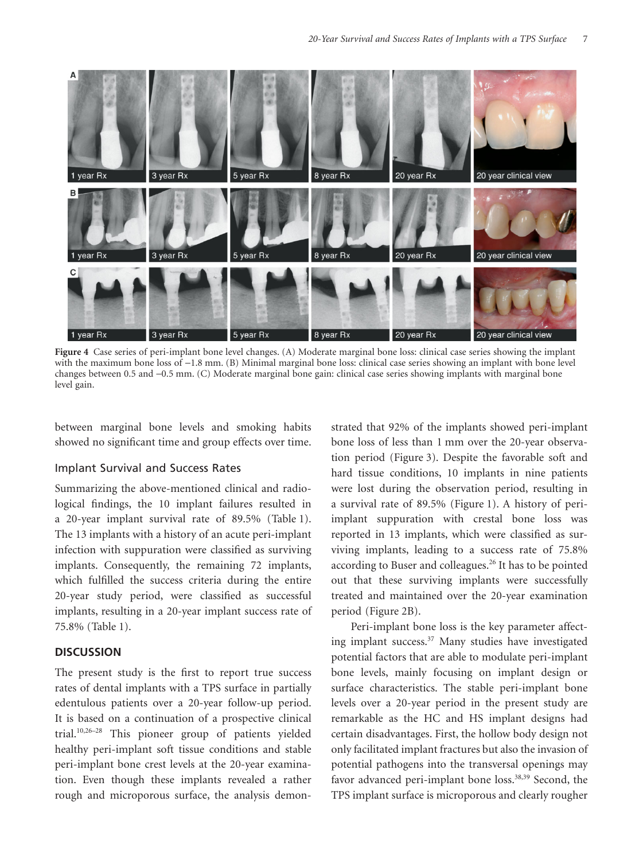

**Figure 4** Case series of peri-implant bone level changes. (A) Moderate marginal bone loss: clinical case series showing the implant with the maximum bone loss of -1.8 mm. (B) Minimal marginal bone loss: clinical case series showing an implant with bone level changes between 0.5 and -0.5 mm. (C) Moderate marginal bone gain: clinical case series showing implants with marginal bone level gain.

between marginal bone levels and smoking habits showed no significant time and group effects over time.

### Implant Survival and Success Rates

Summarizing the above-mentioned clinical and radiological findings, the 10 implant failures resulted in a 20-year implant survival rate of 89.5% (Table 1). The 13 implants with a history of an acute peri-implant infection with suppuration were classified as surviving implants. Consequently, the remaining 72 implants, which fulfilled the success criteria during the entire 20-year study period, were classified as successful implants, resulting in a 20-year implant success rate of 75.8% (Table 1).

#### **DISCUSSION**

The present study is the first to report true success rates of dental implants with a TPS surface in partially edentulous patients over a 20-year follow-up period. It is based on a continuation of a prospective clinical trial.10,26–28 This pioneer group of patients yielded healthy peri-implant soft tissue conditions and stable peri-implant bone crest levels at the 20-year examination. Even though these implants revealed a rather rough and microporous surface, the analysis demonstrated that 92% of the implants showed peri-implant bone loss of less than 1 mm over the 20-year observation period (Figure 3). Despite the favorable soft and hard tissue conditions, 10 implants in nine patients were lost during the observation period, resulting in a survival rate of 89.5% (Figure 1). A history of periimplant suppuration with crestal bone loss was reported in 13 implants, which were classified as surviving implants, leading to a success rate of 75.8% according to Buser and colleagues.<sup>26</sup> It has to be pointed out that these surviving implants were successfully treated and maintained over the 20-year examination period (Figure 2B).

Peri-implant bone loss is the key parameter affecting implant success.<sup>37</sup> Many studies have investigated potential factors that are able to modulate peri-implant bone levels, mainly focusing on implant design or surface characteristics. The stable peri-implant bone levels over a 20-year period in the present study are remarkable as the HC and HS implant designs had certain disadvantages. First, the hollow body design not only facilitated implant fractures but also the invasion of potential pathogens into the transversal openings may favor advanced peri-implant bone loss.<sup>38,39</sup> Second, the TPS implant surface is microporous and clearly rougher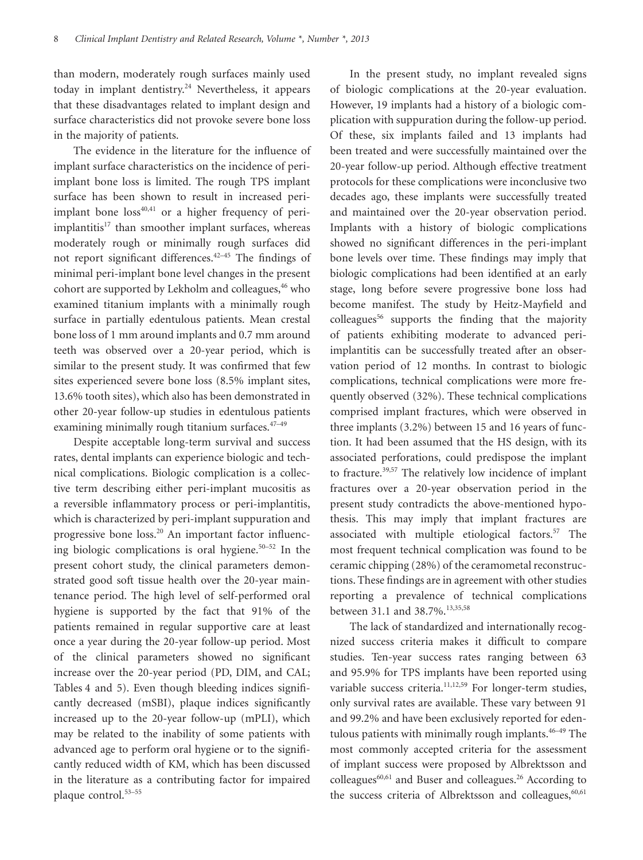than modern, moderately rough surfaces mainly used today in implant dentistry.<sup>24</sup> Nevertheless, it appears that these disadvantages related to implant design and surface characteristics did not provoke severe bone loss in the majority of patients.

The evidence in the literature for the influence of implant surface characteristics on the incidence of periimplant bone loss is limited. The rough TPS implant surface has been shown to result in increased periimplant bone  $loss<sup>40,41</sup>$  or a higher frequency of periimplantitis<sup>17</sup> than smoother implant surfaces, whereas moderately rough or minimally rough surfaces did not report significant differences.42–45 The findings of minimal peri-implant bone level changes in the present cohort are supported by Lekholm and colleagues,<sup>46</sup> who examined titanium implants with a minimally rough surface in partially edentulous patients. Mean crestal bone loss of 1 mm around implants and 0.7 mm around teeth was observed over a 20-year period, which is similar to the present study. It was confirmed that few sites experienced severe bone loss (8.5% implant sites, 13.6% tooth sites), which also has been demonstrated in other 20-year follow-up studies in edentulous patients examining minimally rough titanium surfaces.<sup>47-49</sup>

Despite acceptable long-term survival and success rates, dental implants can experience biologic and technical complications. Biologic complication is a collective term describing either peri-implant mucositis as a reversible inflammatory process or peri-implantitis, which is characterized by peri-implant suppuration and progressive bone loss.<sup>20</sup> An important factor influencing biologic complications is oral hygiene. $50-52$  In the present cohort study, the clinical parameters demonstrated good soft tissue health over the 20-year maintenance period. The high level of self-performed oral hygiene is supported by the fact that 91% of the patients remained in regular supportive care at least once a year during the 20-year follow-up period. Most of the clinical parameters showed no significant increase over the 20-year period (PD, DIM, and CAL; Tables 4 and 5). Even though bleeding indices significantly decreased (mSBI), plaque indices significantly increased up to the 20-year follow-up (mPLI), which may be related to the inability of some patients with advanced age to perform oral hygiene or to the significantly reduced width of KM, which has been discussed in the literature as a contributing factor for impaired plaque control.53–55

In the present study, no implant revealed signs of biologic complications at the 20-year evaluation. However, 19 implants had a history of a biologic complication with suppuration during the follow-up period. Of these, six implants failed and 13 implants had been treated and were successfully maintained over the 20-year follow-up period. Although effective treatment protocols for these complications were inconclusive two decades ago, these implants were successfully treated and maintained over the 20-year observation period. Implants with a history of biologic complications showed no significant differences in the peri-implant bone levels over time. These findings may imply that biologic complications had been identified at an early stage, long before severe progressive bone loss had become manifest. The study by Heitz-Mayfield and  $colleagues<sup>56</sup>$  supports the finding that the majority of patients exhibiting moderate to advanced periimplantitis can be successfully treated after an observation period of 12 months. In contrast to biologic complications, technical complications were more frequently observed (32%). These technical complications comprised implant fractures, which were observed in three implants (3.2%) between 15 and 16 years of function. It had been assumed that the HS design, with its associated perforations, could predispose the implant to fracture.39,57 The relatively low incidence of implant fractures over a 20-year observation period in the present study contradicts the above-mentioned hypothesis. This may imply that implant fractures are associated with multiple etiological factors.<sup>57</sup> The most frequent technical complication was found to be ceramic chipping (28%) of the ceramometal reconstructions. These findings are in agreement with other studies reporting a prevalence of technical complications between 31.1 and 38.7%.<sup>13,35,58</sup>

The lack of standardized and internationally recognized success criteria makes it difficult to compare studies. Ten-year success rates ranging between 63 and 95.9% for TPS implants have been reported using variable success criteria.<sup>11,12,59</sup> For longer-term studies, only survival rates are available. These vary between 91 and 99.2% and have been exclusively reported for edentulous patients with minimally rough implants.<sup>46–49</sup> The most commonly accepted criteria for the assessment of implant success were proposed by Albrektsson and colleagues<sup>60,61</sup> and Buser and colleagues.<sup>26</sup> According to the success criteria of Albrektsson and colleagues,<sup>60,61</sup>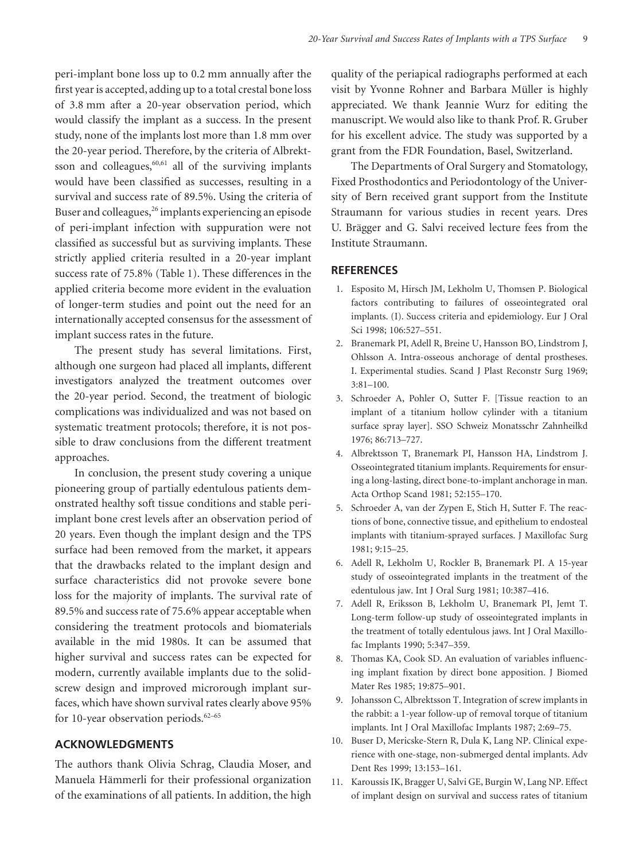peri-implant bone loss up to 0.2 mm annually after the first year is accepted, adding up to a total crestal bone loss of 3.8 mm after a 20-year observation period, which would classify the implant as a success. In the present study, none of the implants lost more than 1.8 mm over the 20-year period. Therefore, by the criteria of Albrektsson and colleagues, $60,61$  all of the surviving implants would have been classified as successes, resulting in a survival and success rate of 89.5%. Using the criteria of Buser and colleagues,<sup>26</sup> implants experiencing an episode of peri-implant infection with suppuration were not classified as successful but as surviving implants. These strictly applied criteria resulted in a 20-year implant success rate of 75.8% (Table 1). These differences in the applied criteria become more evident in the evaluation of longer-term studies and point out the need for an internationally accepted consensus for the assessment of implant success rates in the future.

The present study has several limitations. First, although one surgeon had placed all implants, different investigators analyzed the treatment outcomes over the 20-year period. Second, the treatment of biologic complications was individualized and was not based on systematic treatment protocols; therefore, it is not possible to draw conclusions from the different treatment approaches.

In conclusion, the present study covering a unique pioneering group of partially edentulous patients demonstrated healthy soft tissue conditions and stable periimplant bone crest levels after an observation period of 20 years. Even though the implant design and the TPS surface had been removed from the market, it appears that the drawbacks related to the implant design and surface characteristics did not provoke severe bone loss for the majority of implants. The survival rate of 89.5% and success rate of 75.6% appear acceptable when considering the treatment protocols and biomaterials available in the mid 1980s. It can be assumed that higher survival and success rates can be expected for modern, currently available implants due to the solidscrew design and improved microrough implant surfaces, which have shown survival rates clearly above 95% for 10-year observation periods. $62-65$ 

## **ACKNOWLEDGMENTS**

The authors thank Olivia Schrag, Claudia Moser, and Manuela Hämmerli for their professional organization of the examinations of all patients. In addition, the high

quality of the periapical radiographs performed at each visit by Yvonne Rohner and Barbara Müller is highly appreciated. We thank Jeannie Wurz for editing the manuscript. We would also like to thank Prof. R. Gruber for his excellent advice. The study was supported by a grant from the FDR Foundation, Basel, Switzerland.

The Departments of Oral Surgery and Stomatology, Fixed Prosthodontics and Periodontology of the University of Bern received grant support from the Institute Straumann for various studies in recent years. Dres U. Brägger and G. Salvi received lecture fees from the Institute Straumann.

#### **REFERENCES**

- 1. Esposito M, Hirsch JM, Lekholm U, Thomsen P. Biological factors contributing to failures of osseointegrated oral implants. (I). Success criteria and epidemiology. Eur J Oral Sci 1998; 106:527–551.
- 2. Branemark PI, Adell R, Breine U, Hansson BO, Lindstrom J, Ohlsson A. Intra-osseous anchorage of dental prostheses. I. Experimental studies. Scand J Plast Reconstr Surg 1969; 3:81–100.
- 3. Schroeder A, Pohler O, Sutter F. [Tissue reaction to an implant of a titanium hollow cylinder with a titanium surface spray layer]. SSO Schweiz Monatsschr Zahnheilkd 1976; 86:713–727.
- 4. Albrektsson T, Branemark PI, Hansson HA, Lindstrom J. Osseointegrated titanium implants. Requirements for ensuring a long-lasting, direct bone-to-implant anchorage in man. Acta Orthop Scand 1981; 52:155–170.
- 5. Schroeder A, van der Zypen E, Stich H, Sutter F. The reactions of bone, connective tissue, and epithelium to endosteal implants with titanium-sprayed surfaces. J Maxillofac Surg 1981; 9:15–25.
- 6. Adell R, Lekholm U, Rockler B, Branemark PI. A 15-year study of osseointegrated implants in the treatment of the edentulous jaw. Int J Oral Surg 1981; 10:387–416.
- 7. Adell R, Eriksson B, Lekholm U, Branemark PI, Jemt T. Long-term follow-up study of osseointegrated implants in the treatment of totally edentulous jaws. Int J Oral Maxillofac Implants 1990; 5:347–359.
- 8. Thomas KA, Cook SD. An evaluation of variables influencing implant fixation by direct bone apposition. J Biomed Mater Res 1985; 19:875–901.
- 9. Johansson C, Albrektsson T. Integration of screw implants in the rabbit: a 1-year follow-up of removal torque of titanium implants. Int J Oral Maxillofac Implants 1987; 2:69–75.
- 10. Buser D, Mericske-Stern R, Dula K, Lang NP. Clinical experience with one-stage, non-submerged dental implants. Adv Dent Res 1999; 13:153–161.
- 11. Karoussis IK, Bragger U, Salvi GE, Burgin W, Lang NP. Effect of implant design on survival and success rates of titanium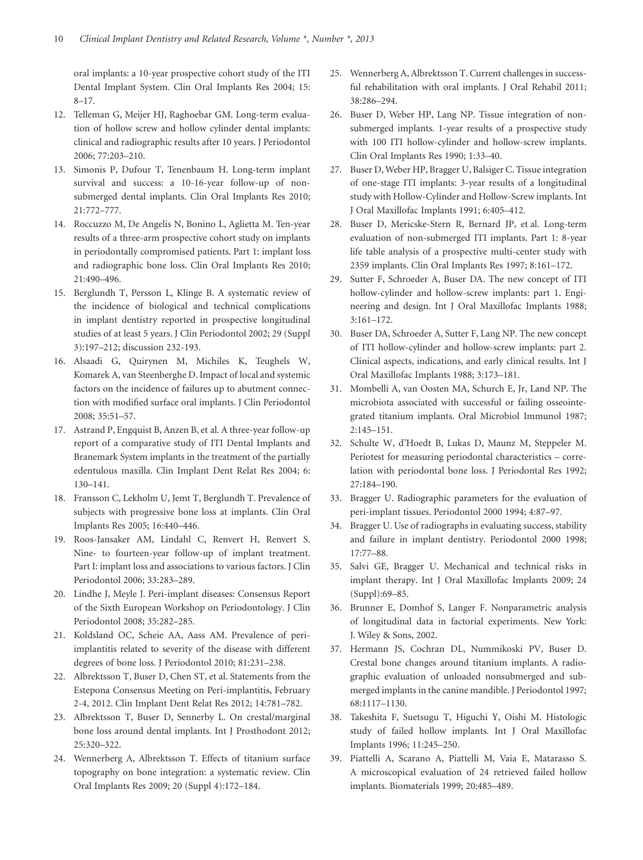oral implants: a 10-year prospective cohort study of the ITI Dental Implant System. Clin Oral Implants Res 2004; 15: 8–17.

- 12. Telleman G, Meijer HJ, Raghoebar GM. Long-term evaluation of hollow screw and hollow cylinder dental implants: clinical and radiographic results after 10 years. J Periodontol 2006; 77:203–210.
- 13. Simonis P, Dufour T, Tenenbaum H. Long-term implant survival and success: a 10-16-year follow-up of nonsubmerged dental implants. Clin Oral Implants Res 2010; 21:772–777.
- 14. Roccuzzo M, De Angelis N, Bonino L, Aglietta M. Ten-year results of a three-arm prospective cohort study on implants in periodontally compromised patients. Part 1: implant loss and radiographic bone loss. Clin Oral Implants Res 2010; 21:490–496.
- 15. Berglundh T, Persson L, Klinge B. A systematic review of the incidence of biological and technical complications in implant dentistry reported in prospective longitudinal studies of at least 5 years. J Clin Periodontol 2002; 29 (Suppl 3):197–212; discussion 232-193.
- 16. Alsaadi G, Quirynen M, Michiles K, Teughels W, Komarek A, van Steenberghe D. Impact of local and systemic factors on the incidence of failures up to abutment connection with modified surface oral implants. J Clin Periodontol 2008; 35:51–57.
- 17. Astrand P, Engquist B, Anzen B, et al. A three-year follow-up report of a comparative study of ITI Dental Implants and Branemark System implants in the treatment of the partially edentulous maxilla. Clin Implant Dent Relat Res 2004; 6: 130–141.
- 18. Fransson C, Lekholm U, Jemt T, Berglundh T. Prevalence of subjects with progressive bone loss at implants. Clin Oral Implants Res 2005; 16:440–446.
- 19. Roos-Jansaker AM, Lindahl C, Renvert H, Renvert S. Nine- to fourteen-year follow-up of implant treatment. Part I: implant loss and associations to various factors. J Clin Periodontol 2006; 33:283–289.
- 20. Lindhe J, Meyle J. Peri-implant diseases: Consensus Report of the Sixth European Workshop on Periodontology. J Clin Periodontol 2008; 35:282–285.
- 21. Koldsland OC, Scheie AA, Aass AM. Prevalence of periimplantitis related to severity of the disease with different degrees of bone loss. J Periodontol 2010; 81:231–238.
- 22. Albrektsson T, Buser D, Chen ST, et al. Statements from the Estepona Consensus Meeting on Peri-implantitis, February 2-4, 2012. Clin Implant Dent Relat Res 2012; 14:781–782.
- 23. Albrektsson T, Buser D, Sennerby L. On crestal/marginal bone loss around dental implants. Int J Prosthodont 2012; 25:320–322.
- 24. Wennerberg A, Albrektsson T. Effects of titanium surface topography on bone integration: a systematic review. Clin Oral Implants Res 2009; 20 (Suppl 4):172–184.
- 25. Wennerberg A, Albrektsson T. Current challenges in successful rehabilitation with oral implants. J Oral Rehabil 2011; 38:286–294.
- 26. Buser D, Weber HP, Lang NP. Tissue integration of nonsubmerged implants. 1-year results of a prospective study with 100 ITI hollow-cylinder and hollow-screw implants. Clin Oral Implants Res 1990; 1:33–40.
- 27. Buser D, Weber HP, Bragger U, Balsiger C. Tissue integration of one-stage ITI implants: 3-year results of a longitudinal study with Hollow-Cylinder and Hollow-Screw implants. Int J Oral Maxillofac Implants 1991; 6:405–412.
- 28. Buser D, Mericske-Stern R, Bernard JP, et al. Long-term evaluation of non-submerged ITI implants. Part 1: 8-year life table analysis of a prospective multi-center study with 2359 implants. Clin Oral Implants Res 1997; 8:161–172.
- 29. Sutter F, Schroeder A, Buser DA. The new concept of ITI hollow-cylinder and hollow-screw implants: part 1. Engineering and design. Int J Oral Maxillofac Implants 1988; 3:161–172.
- 30. Buser DA, Schroeder A, Sutter F, Lang NP. The new concept of ITI hollow-cylinder and hollow-screw implants: part 2. Clinical aspects, indications, and early clinical results. Int J Oral Maxillofac Implants 1988; 3:173–181.
- 31. Mombelli A, van Oosten MA, Schurch E, Jr, Land NP. The microbiota associated with successful or failing osseointegrated titanium implants. Oral Microbiol Immunol 1987; 2:145–151.
- 32. Schulte W, d'Hoedt B, Lukas D, Maunz M, Steppeler M. Periotest for measuring periodontal characteristics – correlation with periodontal bone loss. J Periodontal Res 1992; 27:184–190.
- 33. Bragger U. Radiographic parameters for the evaluation of peri-implant tissues. Periodontol 2000 1994; 4:87–97.
- 34. Bragger U. Use of radiographs in evaluating success, stability and failure in implant dentistry. Periodontol 2000 1998; 17:77–88.
- 35. Salvi GE, Bragger U. Mechanical and technical risks in implant therapy. Int J Oral Maxillofac Implants 2009; 24 (Suppl):69–85.
- 36. Brunner E, Domhof S, Langer F. Nonparametric analysis of longitudinal data in factorial experiments. New York: J. Wiley & Sons, 2002.
- 37. Hermann JS, Cochran DL, Nummikoski PV, Buser D. Crestal bone changes around titanium implants. A radiographic evaluation of unloaded nonsubmerged and submerged implants in the canine mandible. J Periodontol 1997; 68:1117–1130.
- 38. Takeshita F, Suetsugu T, Higuchi Y, Oishi M. Histologic study of failed hollow implants. Int J Oral Maxillofac Implants 1996; 11:245–250.
- 39. Piattelli A, Scarano A, Piattelli M, Vaia E, Matarasso S. A microscopical evaluation of 24 retrieved failed hollow implants. Biomaterials 1999; 20:485–489.